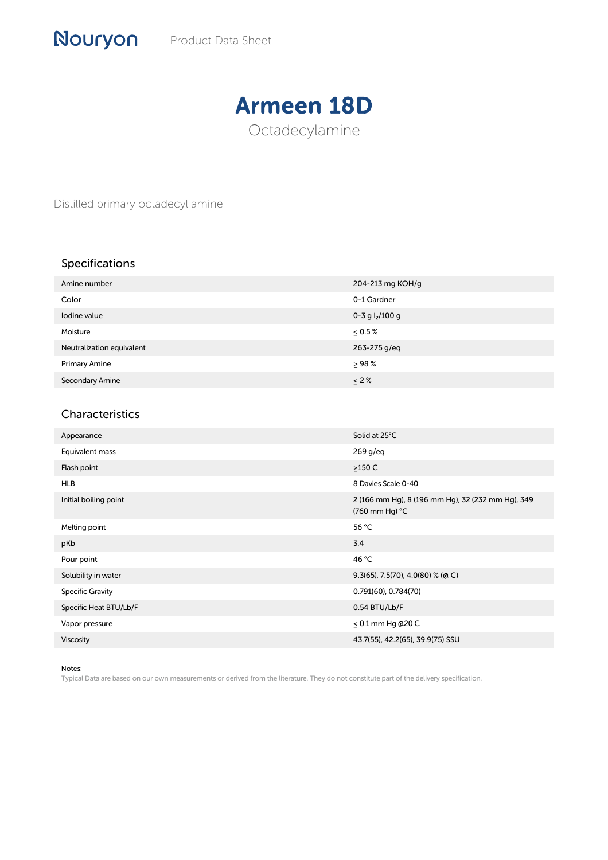## Armeen 18D Octadecylamine

Distilled primary octadecyl amine

## Specifications

| Amine number              | 204-213 mg KOH/g  |
|---------------------------|-------------------|
| Color                     | 0-1 Gardner       |
| Iodine value              | 0-3 g $I_2/100$ g |
| Moisture                  | $\leq 0.5\%$      |
| Neutralization equivalent | 263-275 g/eq      |
| <b>Primary Amine</b>      | > 98%             |
| Secondary Amine           | $\leq$ 2%         |

## Characteristics

| Appearance              | Solid at 25°C                                                       |
|-------------------------|---------------------------------------------------------------------|
| Equivalent mass         | $269$ g/eq                                                          |
| Flash point             | $>150$ C                                                            |
| <b>HLB</b>              | 8 Davies Scale 0-40                                                 |
| Initial boiling point   | 2 (166 mm Hg), 8 (196 mm Hg), 32 (232 mm Hg), 349<br>(760 mm Hg) °C |
| Melting point           | 56 °C                                                               |
| pKb                     | 3.4                                                                 |
| Pour point              | 46 °C                                                               |
| Solubility in water     | $9.3(65)$ , 7.5(70), 4.0(80) % (a C)                                |
| <b>Specific Gravity</b> | $0.791(60)$ , $0.784(70)$                                           |
| Specific Heat BTU/Lb/F  | 0.54 BTU/Lb/F                                                       |
| Vapor pressure          | $\leq$ 0.1 mm Hg @20 C                                              |
| <b>Viscosity</b>        | 43.7(55), 42.2(65), 39.9(75) SSU                                    |

Notes:

Typical Data are based on our own measurements or derived from the literature. They do not constitute part of the delivery specification.